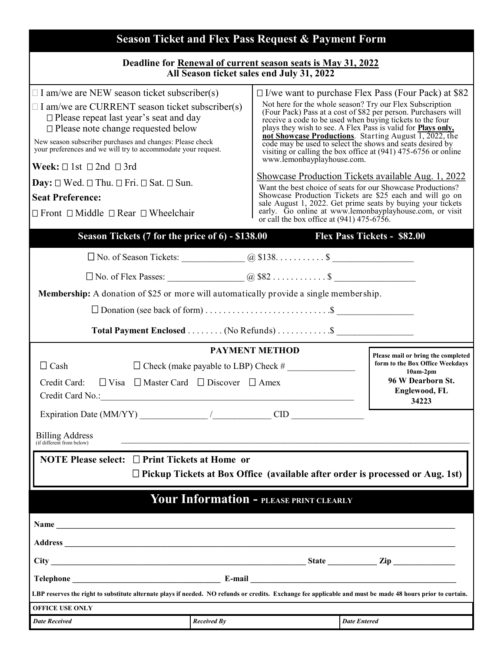| <b>Season Ticket and Flex Pass Request &amp; Payment Form</b>                                                                                                                                                                                                                                                                                                                                                                                                                                                                                                                                                                                                                                                                                                                                                                                                                                                                                                                                                                                                                                                                                                                                                                                                                                                                                                                                                                                                                                                                                                                           |                     |                                                                                              |
|-----------------------------------------------------------------------------------------------------------------------------------------------------------------------------------------------------------------------------------------------------------------------------------------------------------------------------------------------------------------------------------------------------------------------------------------------------------------------------------------------------------------------------------------------------------------------------------------------------------------------------------------------------------------------------------------------------------------------------------------------------------------------------------------------------------------------------------------------------------------------------------------------------------------------------------------------------------------------------------------------------------------------------------------------------------------------------------------------------------------------------------------------------------------------------------------------------------------------------------------------------------------------------------------------------------------------------------------------------------------------------------------------------------------------------------------------------------------------------------------------------------------------------------------------------------------------------------------|---------------------|----------------------------------------------------------------------------------------------|
| Deadline for Renewal of current season seats is May 31, 2022<br>All Season ticket sales end July 31, 2022                                                                                                                                                                                                                                                                                                                                                                                                                                                                                                                                                                                                                                                                                                                                                                                                                                                                                                                                                                                                                                                                                                                                                                                                                                                                                                                                                                                                                                                                               |                     |                                                                                              |
| $\Box$ I am/we are NEW season ticket subscriber(s)<br>$\Box$ I/we want to purchase Flex Pass (Four Pack) at \$82<br>Not here for the whole season? Try our Flex Subscription<br>$\Box$ I am/we are CURRENT season ticket subscriber(s)<br>(Four Pack) Pass at a cost of \$82 per person. Purchasers will<br>$\square$ Please repeat last year's seat and day<br>receive a code to be used when buying tickets to the four<br>$\square$ Please note change requested below<br>plays they wish to see. A Flex Pass is valid for <b>Plays only</b> ,<br>not Showcase Productions. Starting August 1, 2022, the<br>New season subscriber purchases and changes: Please check<br>code may be used to select the shows and seats desired by<br>your preferences and we will try to accommodate your request.<br>visiting or calling the box office at $(941)$ 475-6756 or online<br>www.lemonbayplayhouse.com.<br>Week: $\Box$ 1st $\Box$ 2nd $\Box$ 3rd<br>Showcase Production Tickets available Aug. 1, 2022<br><b>Day:</b> $\square$ Wed. $\square$ Thu. $\square$ Fri. $\square$ Sat. $\square$ Sun.<br>Want the best choice of seats for our Showcase Productions?<br>Showcase Production Tickets are \$25 each and will go on<br><b>Seat Preference:</b><br>sale August 1, 2022. Get prime seats by buying your tickets<br>early. Go online at www.lemonbayplayhouse.com, or visit<br>$\Box$ Front $\Box$ Middle $\Box$ Rear $\Box$ Wheelchair<br>or call the box office at $(941)$ 475-6756.<br>Season Tickets (7 for the price of 6) - \$138.00<br><b>Flex Pass Tickets - \$82.00</b> |                     |                                                                                              |
| <b>Membership:</b> A donation of \$25 or more will automatically provide a single membership.<br>Total Payment Enclosed (No Refunds) \$                                                                                                                                                                                                                                                                                                                                                                                                                                                                                                                                                                                                                                                                                                                                                                                                                                                                                                                                                                                                                                                                                                                                                                                                                                                                                                                                                                                                                                                 |                     |                                                                                              |
| <b>PAYMENT METHOD</b>                                                                                                                                                                                                                                                                                                                                                                                                                                                                                                                                                                                                                                                                                                                                                                                                                                                                                                                                                                                                                                                                                                                                                                                                                                                                                                                                                                                                                                                                                                                                                                   |                     | Please mail or bring the completed                                                           |
| $\Box$ Cash<br>$\Box$ Check (make payable to LBP) Check #<br>$\Box$ Visa $\Box$ Master Card $\Box$ Discover $\Box$ Amex<br>Credit Card:<br>Credit Card No.:                                                                                                                                                                                                                                                                                                                                                                                                                                                                                                                                                                                                                                                                                                                                                                                                                                                                                                                                                                                                                                                                                                                                                                                                                                                                                                                                                                                                                             |                     | form to the Box Office Weekdays<br>$10am-2pm$<br>96 W Dearborn St.<br>Englewood, FL<br>34223 |
|                                                                                                                                                                                                                                                                                                                                                                                                                                                                                                                                                                                                                                                                                                                                                                                                                                                                                                                                                                                                                                                                                                                                                                                                                                                                                                                                                                                                                                                                                                                                                                                         |                     |                                                                                              |
| <b>Billing Address</b><br>(if different from below)                                                                                                                                                                                                                                                                                                                                                                                                                                                                                                                                                                                                                                                                                                                                                                                                                                                                                                                                                                                                                                                                                                                                                                                                                                                                                                                                                                                                                                                                                                                                     |                     |                                                                                              |
| NOTE Please select: □ Print Tickets at Home or<br>$\Box$ Pickup Tickets at Box Office (available after order is processed or Aug. 1st)                                                                                                                                                                                                                                                                                                                                                                                                                                                                                                                                                                                                                                                                                                                                                                                                                                                                                                                                                                                                                                                                                                                                                                                                                                                                                                                                                                                                                                                  |                     |                                                                                              |
| <b>Your Information - PLEASE PRINT CLEARLY</b>                                                                                                                                                                                                                                                                                                                                                                                                                                                                                                                                                                                                                                                                                                                                                                                                                                                                                                                                                                                                                                                                                                                                                                                                                                                                                                                                                                                                                                                                                                                                          |                     |                                                                                              |
|                                                                                                                                                                                                                                                                                                                                                                                                                                                                                                                                                                                                                                                                                                                                                                                                                                                                                                                                                                                                                                                                                                                                                                                                                                                                                                                                                                                                                                                                                                                                                                                         |                     |                                                                                              |
|                                                                                                                                                                                                                                                                                                                                                                                                                                                                                                                                                                                                                                                                                                                                                                                                                                                                                                                                                                                                                                                                                                                                                                                                                                                                                                                                                                                                                                                                                                                                                                                         |                     |                                                                                              |
|                                                                                                                                                                                                                                                                                                                                                                                                                                                                                                                                                                                                                                                                                                                                                                                                                                                                                                                                                                                                                                                                                                                                                                                                                                                                                                                                                                                                                                                                                                                                                                                         |                     |                                                                                              |
|                                                                                                                                                                                                                                                                                                                                                                                                                                                                                                                                                                                                                                                                                                                                                                                                                                                                                                                                                                                                                                                                                                                                                                                                                                                                                                                                                                                                                                                                                                                                                                                         |                     |                                                                                              |
| LBP reserves the right to substitute alternate plays if needed. NO refunds or credits. Exchange fee applicable and must be made 48 hours prior to curtain.<br><b>OFFICE USE ONLY</b>                                                                                                                                                                                                                                                                                                                                                                                                                                                                                                                                                                                                                                                                                                                                                                                                                                                                                                                                                                                                                                                                                                                                                                                                                                                                                                                                                                                                    |                     |                                                                                              |
| <b>Date Received</b><br><b>Received By</b>                                                                                                                                                                                                                                                                                                                                                                                                                                                                                                                                                                                                                                                                                                                                                                                                                                                                                                                                                                                                                                                                                                                                                                                                                                                                                                                                                                                                                                                                                                                                              | <b>Date Entered</b> |                                                                                              |